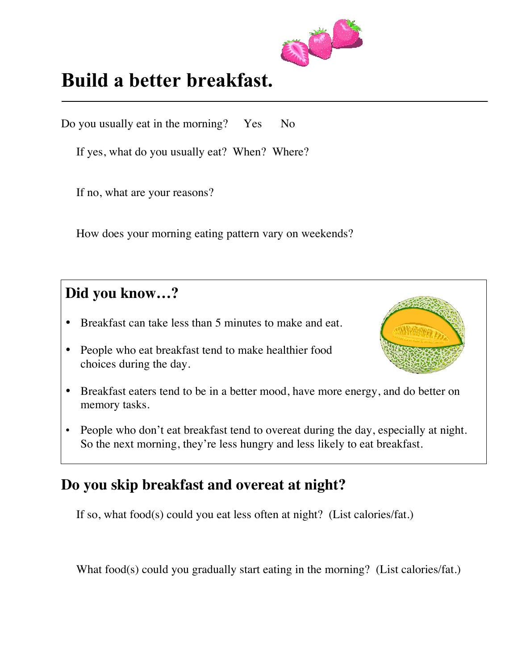

## **Build a better breakfast.**

Do you usually eat in the morning? Yes No

If yes, what do you usually eat? When? Where?

If no, what are your reasons?

How does your morning eating pattern vary on weekends?

#### **Did you know…?**

l

- Breakfast can take less than 5 minutes to make and eat.
- People who eat breakfast tend to make healthier food choices during the day.



- Breakfast eaters tend to be in a better mood, have more energy, and do better on memory tasks.
- People who don't eat breakfast tend to overeat during the day, especially at night. So the next morning, they're less hungry and less likely to eat breakfast.

#### **Do you skip breakfast and overeat at night?**

If so, what food(s) could you eat less often at night? (List calories/fat.)

What food(s) could you gradually start eating in the morning? (List calories/fat.)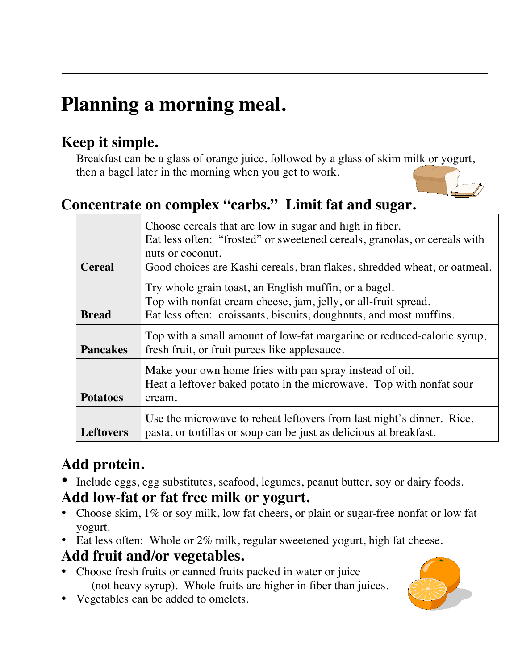# **Planning a morning meal.**

### **Keep it simple.**

Breakfast can be a glass of orange juice, followed by a glass of skim milk or yogurt, then a bagel later in the morning when you get to work.

### **Concentrate on complex "carbs." Limit fat and sugar.**

| <b>Cereal</b>    | Choose cereals that are low in sugar and high in fiber.<br>Eat less often: "frosted" or sweetened cereals, granolas, or cereals with<br>nuts or coconut.<br>Good choices are Kashi cereals, bran flakes, shredded wheat, or oatmeal. |
|------------------|--------------------------------------------------------------------------------------------------------------------------------------------------------------------------------------------------------------------------------------|
| <b>Bread</b>     | Try whole grain toast, an English muffin, or a bagel.<br>Top with nonfat cream cheese, jam, jelly, or all-fruit spread.<br>Eat less often: croissants, biscuits, doughnuts, and most muffins.                                        |
| <b>Pancakes</b>  | Top with a small amount of low-fat margarine or reduced-calorie syrup,<br>fresh fruit, or fruit purees like applesauce.                                                                                                              |
| <b>Potatoes</b>  | Make your own home fries with pan spray instead of oil.<br>Heat a leftover baked potato in the microwave. Top with nonfat sour<br>cream.                                                                                             |
| <b>Leftovers</b> | Use the microwave to reheat leftovers from last night's dinner. Rice,<br>pasta, or tortillas or soup can be just as delicious at breakfast.                                                                                          |

## **Add protein.**

• Include eggs, egg substitutes, seafood, legumes, peanut butter, soy or dairy foods.

#### **Add low-fat or fat free milk or yogurt.**

- Choose skim, 1% or soy milk, low fat cheers, or plain or sugar-free nonfat or low fat yogurt.
- Eat less often: Whole or 2% milk, regular sweetened yogurt, high fat cheese.

#### **Add fruit and/or vegetables.**

- Choose fresh fruits or canned fruits packed in water or juice (not heavy syrup). Whole fruits are higher in fiber than juices.
- Vegetables can be added to omelets.

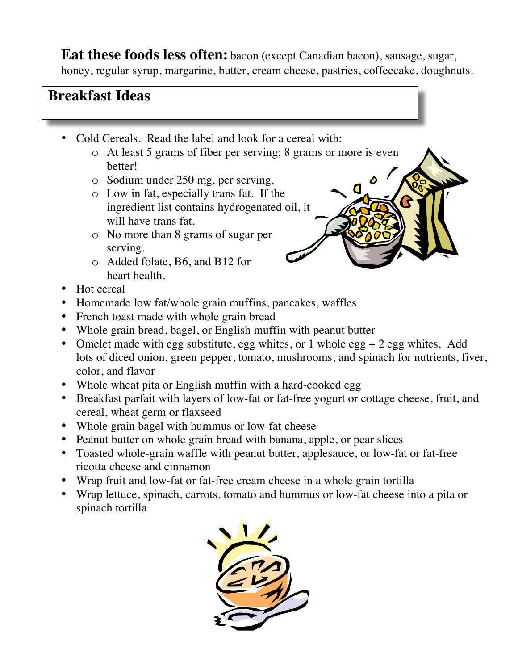**Eat these foods less often:** bacon (except Canadian bacon), sausage, sugar, honey, regular syrup, margarine, butter, cream cheese, pastries, coffeecake, doughnuts.

#### **Breakfast Ideas**

- Cold Cereals. Read the label and look for a cereal with:
	- o At least 5 grams of fiber per serving; 8 grams or more is even better!
	- o Sodium under 250 mg. per serving.
	- o Low in fat, especially trans fat. If the ingredient list contains hydrogenated oil, it will have trans fat.
	- o No more than 8 grams of sugar per serving.
	- o Added folate, B6, and B12 for heart health.
- Hot cereal
- Homemade low fat/whole grain muffins, pancakes, waffles
- French toast made with whole grain bread
- Whole grain bread, bagel, or English muffin with peanut butter
- Omelet made with egg substitute, egg whites, or 1 whole egg + 2 egg whites. Add lots of diced onion, green pepper, tomato, mushrooms, and spinach for nutrients, fiver, color, and flavor
- Whole wheat pita or English muffin with a hard-cooked egg
- Breakfast parfait with layers of low-fat or fat-free yogurt or cottage cheese, fruit, and cereal, wheat germ or flaxseed
- Whole grain bagel with hummus or low-fat cheese
- Peanut butter on whole grain bread with banana, apple, or pear slices
- Toasted whole-grain waffle with peanut butter, applesauce, or low-fat or fat-free ricotta cheese and cinnamon
- Wrap fruit and low-fat or fat-free cream cheese in a whole grain tortilla
- Wrap lettuce, spinach, carrots, tomato and hummus or low-fat cheese into a pita or spinach tortilla